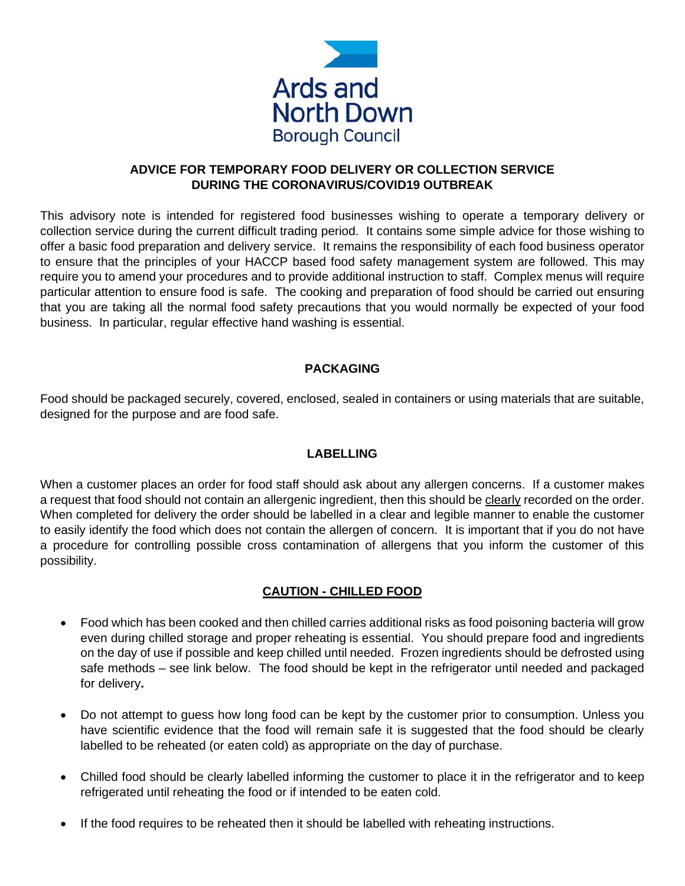

### **ADVICE FOR TEMPORARY FOOD DELIVERY OR COLLECTION SERVICE DURING THE CORONAVIRUS/COVID19 OUTBREAK**

This advisory note is intended for registered food businesses wishing to operate a temporary delivery or collection service during the current difficult trading period. It contains some simple advice for those wishing to offer a basic food preparation and delivery service. It remains the responsibility of each food business operator to ensure that the principles of your HACCP based food safety management system are followed. This may require you to amend your procedures and to provide additional instruction to staff. Complex menus will require particular attention to ensure food is safe. The cooking and preparation of food should be carried out ensuring that you are taking all the normal food safety precautions that you would normally be expected of your food business. In particular, regular effective hand washing is essential.

# **PACKAGING**

Food should be packaged securely, covered, enclosed, sealed in containers or using materials that are suitable, designed for the purpose and are food safe.

# **LABELLING**

When a customer places an order for food staff should ask about any allergen concerns. If a customer makes a request that food should not contain an allergenic ingredient, then this should be clearly recorded on the order. When completed for delivery the order should be labelled in a clear and legible manner to enable the customer to easily identify the food which does not contain the allergen of concern. It is important that if you do not have a procedure for controlling possible cross contamination of allergens that you inform the customer of this possibility.

# **CAUTION - CHILLED FOOD**

- Food which has been cooked and then chilled carries additional risks as food poisoning bacteria will grow even during chilled storage and proper reheating is essential. You should prepare food and ingredients on the day of use if possible and keep chilled until needed. Frozen ingredients should be defrosted using safe methods – see link below. The food should be kept in the refrigerator until needed and packaged for delivery**.**
- Do not attempt to guess how long food can be kept by the customer prior to consumption. Unless you have scientific evidence that the food will remain safe it is suggested that the food should be clearly labelled to be reheated (or eaten cold) as appropriate on the day of purchase.
- Chilled food should be clearly labelled informing the customer to place it in the refrigerator and to keep refrigerated until reheating the food or if intended to be eaten cold.
- If the food requires to be reheated then it should be labelled with reheating instructions.